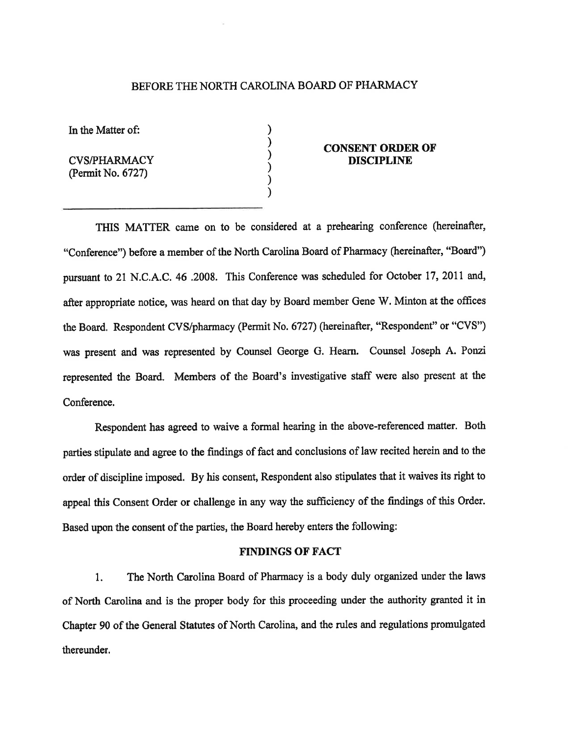# BEFORE THE NORTH CAROLINA BOARD OF PHARMACY

) ) ) ) ) )

In the Matter of:

CVS/PHARMACY (Permit No. 6727)

## **CONSENT ORDER OF DISCIPLINE**

THIS MATTER came on to be considered at a prehearing conference (hereinafter, "Conference") before a member of the North Carolina Board of Pharmacy (hereinafter, "Board") pursuant to 21 N.C.A.C.46.2008. This Conference was scheduled for October l7,20ll and, after appropriate notice, was heard on that day by Board member Gene W. Minton at the offices the Board. Respondent CVS/pharmacy (Permit No. 6727) (hereinafter, "Respondenf' or "CVS") was present and was represented by Counsel George G. Hearn. Counsel Joseph A. Ponzi represented the Board. Members of the Board's investigative staff were also present at the Conference.

Respondent has agreed to waive a formal hearing in the above-referenced matter. Both parties stipulate and agree to the findings of fact and conclusions of law recited herein and to the order of discipline imposed. By his consent, Respondent also stipulates that it waives its right to appeal this Consent Order or challenge in any way the sufficiency of the findings of this Order. Based upon the consent of the parties, the Board hereby enters the following:

### FINDINGS OF FACT

1. The North Carolina Board of Pharmacy is a body duly organized under the laws of North Carolina and is the proper body for this proceeding under the authority granted it in Chapter 90 of the General Statutes of North Carolina, and the rules and regulations promulgated thereunder.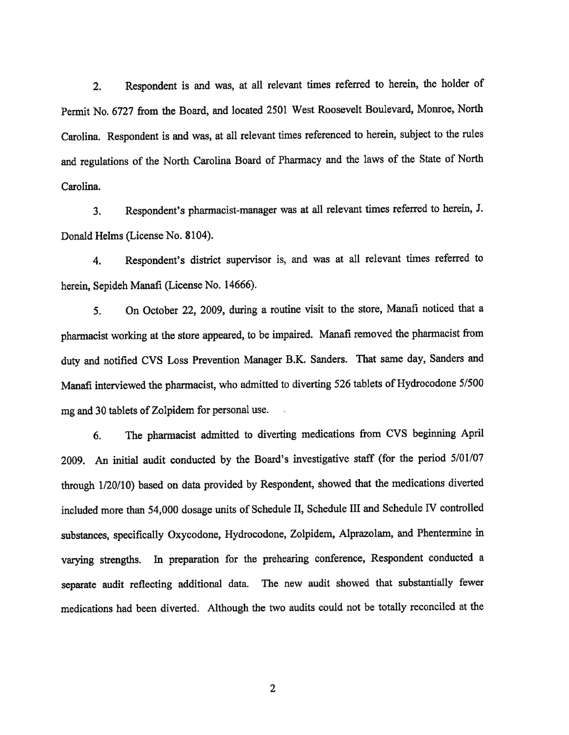2. Respondent is and was, at all relevant times referred to herein, the holder of Permit No. 6727 from the Board, and located 2501 West Roosevelt Boulevard, Monroe, North Carolina. Respondent is and was, at all relevant times referenced to herein, subject to the rules and regulations of the North Carolina Board of Pharmacy and the laws of the State of North Carolina.

3. Respondent's pharmacist-manager was at all relevant times referred to herein, J. Donald Helms (License No. 8104).

4. Respondent's district supervisor is, and was at all relevant times referred to herein, Sepideh Manafi (License No. 14666).

5. On October 22, 2009, during a routine visit to the store, Manafi notioed that <sup>a</sup> phannacist working at the store appeared, to be impaired. Manafi removed the pharmacist from duty and notified CVS Loss Prevention Manager B.K. Sanders. That same day, Sanders and Manafi interviewed the pharmacist, who admitted to diverting 526 tablets of Hydrocodone 5/500 mg and 30 tablets of Zolpidem for personal use.

6. The pharmacist adnitted to diverting medications from CVS beginning April 2009. An initial audit conducted by the Board's investigative staff (for the period  $5/01/07$ through 1/20/10) based on data provided by Respondent, showed that the medications diverted included more than 54,000 dosage units of Schedule II, Schedule III and Schedule IV controlled substances, specifically Oxycodone, Hydrocodone, Zolpidem, Alprazolam, and Phentennine in varying stengths. In preparation for the prehearing conference, Respondent conducted <sup>a</sup> separate audit reflecting additional data. The new audit showed that substantially fewer medications had been diverted. Although the two audits could not be totally reconciled at the

2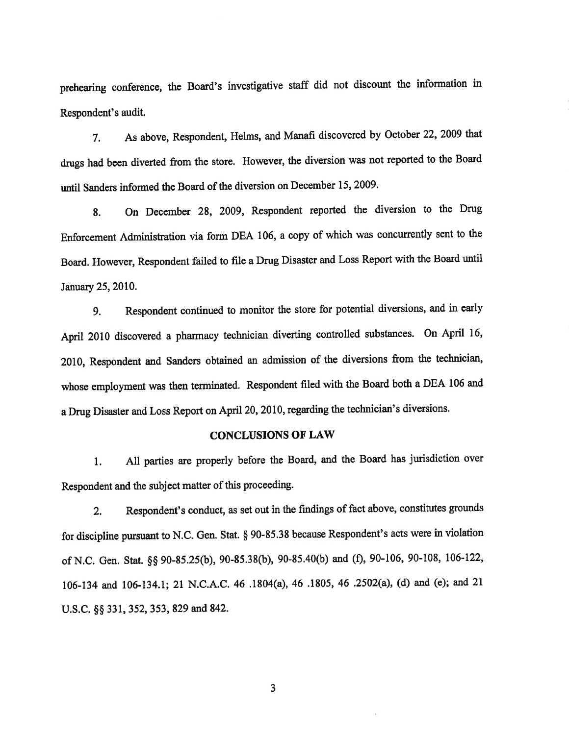prehearing conference, the Board's investigative staff did not discount the information in Respondent's audit.

7, As above, Respondent, Helms, and Manafi discovered by October 22,2009 that drugs had been diverted from the store. However, the diversion was not reported to the Board until Sanders informed the Board of the diversion on December 15, 2009.

8. On December 28, 2009, Respondent reported the diversion to the Drug Enforcement Administation via form DEA 106, a copy of which was concurrently sent to the Board. However, Respondent failed to file a Drug Disaster and Loss Report with the Board until January 25,2010.

g. Respondent continued to monitor the store for potential diversions, and in eæly April 2010 discovered a pharmacy technician diverting controlled substances. On April 16, 2010, Respondent and Sanders obtained an admission of the diversions from the technician, whose employment was then terminated. Respondent filed with the Board both a DEA 106 and a Drug Disaster and Loss Report on April 20, 2010, regarding the technician's diversions.

### **CONCLUSIONS OF LAW**

1. All parties are properly before the Board, and the Board has jurisdiction over Respondent and the subject matter of this proceeding.

2. Respondent's conduct, as set out in the findings of fact above, constitutes grounds for discipline pursuant to N.C. Gen. Stat. \$ 90-35.38 because Respondent's acts were in violation of N.C. Gen. Stat. \$\$ 90-S5.25(b), 90-85.38(b), 90-85.40(b) and (Ð, 90-106, 90-108, 106-122, 106-134 and 106-134.1; 21 N.C.A.C. 46 .1804(a), 46 .1805, 46 .2502(a), (d) and (e); and 21 U.S.C. §§ 331, 352, 353, 829 and 842.

3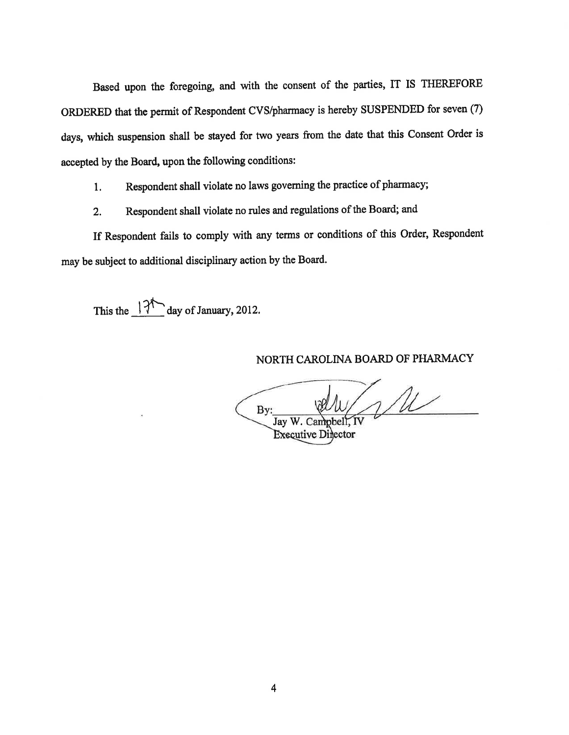Based upon the foregoing, and with the consent of the parties, IT IS THEREFORE ORDERED that the permit of Respondent CVS/pharmacy is hereby SUSPENDED for seven (7) days, which suspension shall be stayed for two years from the date that this Consent Order is accepted by the Board, upon the following conditions:

l. Respondent shall violate no laws goveming the practice of pharmacy;

2. Respondent shall violate no rules and regulations of the Board; and

If Respondent fails to comply with any terms or conditions of this Order, Respondent may be subject to additional disciplinary action by the Board.

This the  $\frac{|\mathcal{V}|^4}{2}$  day of January, 2012.

### NORTH CAROLINA BOARD OF PHARMACY

 $\sqrt{M}$ By: Jay W. Campbell, IV

**Executive Director**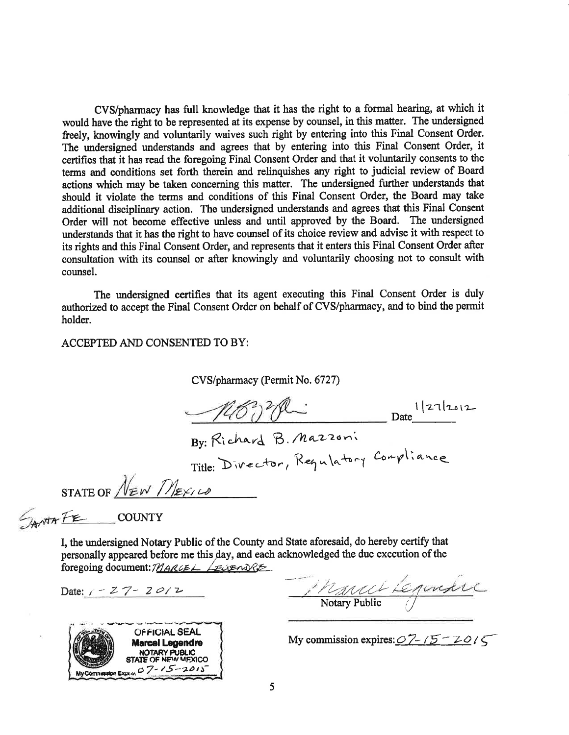CVS/pharmacy has full knowledge that it has the right to a formal hearing, at which it would have the right to be represented at its expense by coursel, in this matter. The undersigned freely, knowingly and voluntarily waives such right by entering into this Final Consent Order. The undersigned understands and agrees that by entering into this Final Consent Order, it certifies that it has read the foregoing Final Consent Order and that it voluntarily consents to the terms and conditions set forth therein and relinquishes any right to judicial review of Board actions which may be taken concerning this matter. The undersigned further understands that should it violate the terms and conditions of this Final Consent Order, the Board may take additional disciplinary action. The undersigned understands and agrees that this Final Consent Order will not become effective unless and until approved by the Board. The undersigned understands that it has the right to have counsel of its choice review and advise it with respect to its rights and this Final Consent Order, and represents that it enters this Final Consent Order after consultation with its counsel or after knowingly and voluntarily choosing not to consult with counsel.

The undersigned certifies that its agent executing this Final Consent Order is duly authorized to accept the Final Consent Order on behalf of CVS/pharmacy, and to bind the permit holder.

#### ACCEPTED AND CONSENTED TO BY:

CVS/pharmacy (Permit No. 6727)

 $1|21|2012$ Date By: Richard B. Mazzoni

Title: Divector, Requlatory Compliance

STATE OF  $N_{\text{EW}}$   $\eta_{\text{EW}}$ 

 $\mathcal{L}_{\text{A}}$ 

I, the undersigned Notary Public of the County and State aforesaid, do hereby certiff that personally appeared before me this day, and each acknowledged the due execution of the foregoing document: MARCEL LEVENDRE

Date:  $1 - 27 - 2012$  , March LE.

**OFFICIAL SEAL Marcel Legendre** NOTARY PUBLIC<br>STATE OF NFW MEXICO My Commession Express 07-15-2015

My commission expires:  $O\sqrt{7}$  -  $15 - 2015$ 

Notary Public V